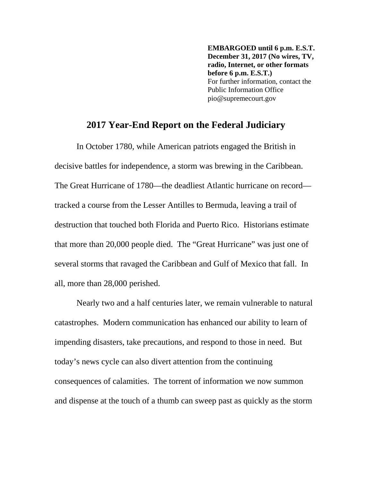**EMBARGOED until 6 p.m. E.S.T. December 31, 2017 (No wires, TV, radio, Internet, or other formats before 6 p.m. E.S.T.)** For further information, contact the Public Information Office pio@supremecourt.gov

# **2017 Year-End Report on the Federal Judiciary**

 In October 1780, while American patriots engaged the British in decisive battles for independence, a storm was brewing in the Caribbean. The Great Hurricane of 1780—the deadliest Atlantic hurricane on record tracked a course from the Lesser Antilles to Bermuda, leaving a trail of destruction that touched both Florida and Puerto Rico. Historians estimate that more than 20,000 people died. The "Great Hurricane" was just one of several storms that ravaged the Caribbean and Gulf of Mexico that fall. In all, more than 28,000 perished.

 Nearly two and a half centuries later, we remain vulnerable to natural catastrophes. Modern communication has enhanced our ability to learn of impending disasters, take precautions, and respond to those in need. But today's news cycle can also divert attention from the continuing consequences of calamities. The torrent of information we now summon and dispense at the touch of a thumb can sweep past as quickly as the storm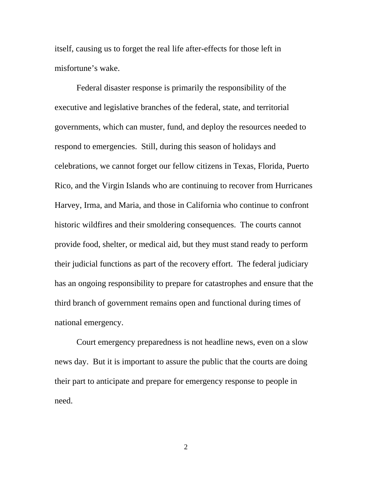itself, causing us to forget the real life after-effects for those left in misfortune's wake.

 Federal disaster response is primarily the responsibility of the executive and legislative branches of the federal, state, and territorial governments, which can muster, fund, and deploy the resources needed to respond to emergencies. Still, during this season of holidays and celebrations, we cannot forget our fellow citizens in Texas, Florida, Puerto Rico, and the Virgin Islands who are continuing to recover from Hurricanes Harvey, Irma, and Maria, and those in California who continue to confront historic wildfires and their smoldering consequences. The courts cannot provide food, shelter, or medical aid, but they must stand ready to perform their judicial functions as part of the recovery effort. The federal judiciary has an ongoing responsibility to prepare for catastrophes and ensure that the third branch of government remains open and functional during times of national emergency.

 Court emergency preparedness is not headline news, even on a slow news day. But it is important to assure the public that the courts are doing their part to anticipate and prepare for emergency response to people in need.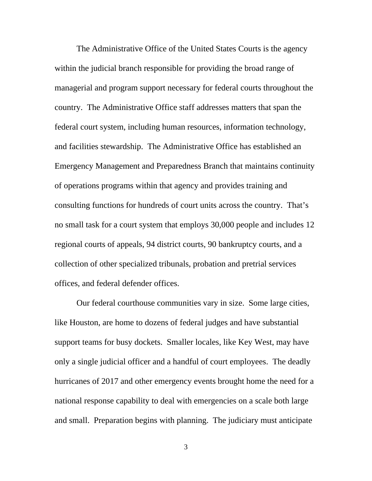The Administrative Office of the United States Courts is the agency within the judicial branch responsible for providing the broad range of managerial and program support necessary for federal courts throughout the country. The Administrative Office staff addresses matters that span the federal court system, including human resources, information technology, and facilities stewardship. The Administrative Office has established an Emergency Management and Preparedness Branch that maintains continuity of operations programs within that agency and provides training and consulting functions for hundreds of court units across the country. That's no small task for a court system that employs 30,000 people and includes 12 regional courts of appeals, 94 district courts, 90 bankruptcy courts, and a collection of other specialized tribunals, probation and pretrial services offices, and federal defender offices.

 Our federal courthouse communities vary in size. Some large cities, like Houston, are home to dozens of federal judges and have substantial support teams for busy dockets. Smaller locales, like Key West, may have only a single judicial officer and a handful of court employees. The deadly hurricanes of 2017 and other emergency events brought home the need for a national response capability to deal with emergencies on a scale both large and small. Preparation begins with planning. The judiciary must anticipate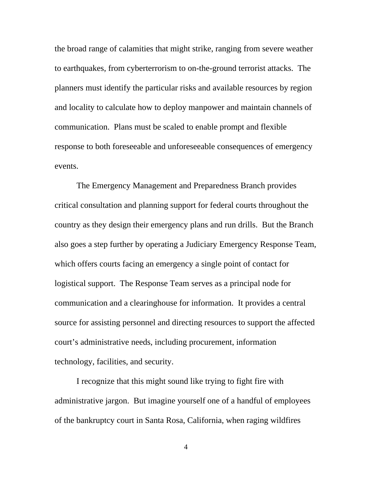the broad range of calamities that might strike, ranging from severe weather to earthquakes, from cyberterrorism to on-the-ground terrorist attacks. The planners must identify the particular risks and available resources by region and locality to calculate how to deploy manpower and maintain channels of communication. Plans must be scaled to enable prompt and flexible response to both foreseeable and unforeseeable consequences of emergency events.

 The Emergency Management and Preparedness Branch provides critical consultation and planning support for federal courts throughout the country as they design their emergency plans and run drills. But the Branch also goes a step further by operating a Judiciary Emergency Response Team, which offers courts facing an emergency a single point of contact for logistical support. The Response Team serves as a principal node for communication and a clearinghouse for information. It provides a central source for assisting personnel and directing resources to support the affected court's administrative needs, including procurement, information technology, facilities, and security.

 I recognize that this might sound like trying to fight fire with administrative jargon. But imagine yourself one of a handful of employees of the bankruptcy court in Santa Rosa, California, when raging wildfires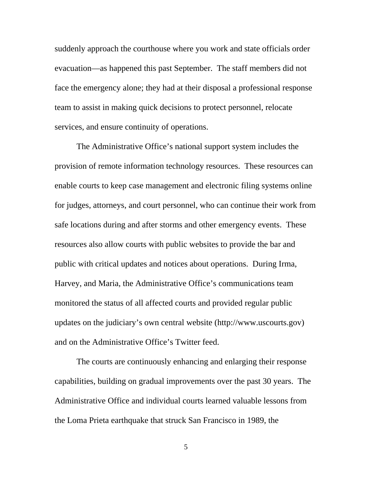suddenly approach the courthouse where you work and state officials order evacuation—as happened this past September. The staff members did not face the emergency alone; they had at their disposal a professional response team to assist in making quick decisions to protect personnel, relocate services, and ensure continuity of operations.

 The Administrative Office's national support system includes the provision of remote information technology resources. These resources can enable courts to keep case management and electronic filing systems online for judges, attorneys, and court personnel, who can continue their work from safe locations during and after storms and other emergency events. These resources also allow courts with public websites to provide the bar and public with critical updates and notices about operations. During Irma, Harvey, and Maria, the Administrative Office's communications team monitored the status of all affected courts and provided regular public updates on the judiciary's own central website ([http://www.uscourts.gov\)](http://www.uscourts.gov)  and on the Administrative Office's Twitter feed.

 The courts are continuously enhancing and enlarging their response capabilities, building on gradual improvements over the past 30 years. The Administrative Office and individual courts learned valuable lessons from the Loma Prieta earthquake that struck San Francisco in 1989, the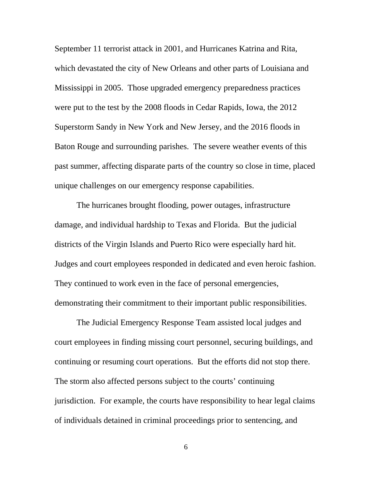September 11 terrorist attack in 2001, and Hurricanes Katrina and Rita, which devastated the city of New Orleans and other parts of Louisiana and Mississippi in 2005. Those upgraded emergency preparedness practices were put to the test by the 2008 floods in Cedar Rapids, Iowa, the 2012 Superstorm Sandy in New York and New Jersey, and the 2016 floods in Baton Rouge and surrounding parishes. The severe weather events of this past summer, affecting disparate parts of the country so close in time, placed unique challenges on our emergency response capabilities.

 The hurricanes brought flooding, power outages, infrastructure damage, and individual hardship to Texas and Florida. But the judicial districts of the Virgin Islands and Puerto Rico were especially hard hit. Judges and court employees responded in dedicated and even heroic fashion. They continued to work even in the face of personal emergencies, demonstrating their commitment to their important public responsibilities.

 The Judicial Emergency Response Team assisted local judges and court employees in finding missing court personnel, securing buildings, and continuing or resuming court operations. But the efforts did not stop there. The storm also affected persons subject to the courts' continuing jurisdiction. For example, the courts have responsibility to hear legal claims of individuals detained in criminal proceedings prior to sentencing, and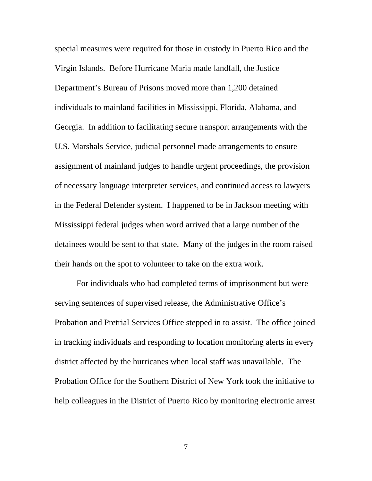special measures were required for those in custody in Puerto Rico and the Virgin Islands. Before Hurricane Maria made landfall, the Justice Department's Bureau of Prisons moved more than 1,200 detained individuals to mainland facilities in Mississippi, Florida, Alabama, and Georgia. In addition to facilitating secure transport arrangements with the U.S. Marshals Service, judicial personnel made arrangements to ensure assignment of mainland judges to handle urgent proceedings, the provision of necessary language interpreter services, and continued access to lawyers in the Federal Defender system. I happened to be in Jackson meeting with Mississippi federal judges when word arrived that a large number of the detainees would be sent to that state. Many of the judges in the room raised their hands on the spot to volunteer to take on the extra work.

 For individuals who had completed terms of imprisonment but were serving sentences of supervised release, the Administrative Office's Probation and Pretrial Services Office stepped in to assist. The office joined in tracking individuals and responding to location monitoring alerts in every district affected by the hurricanes when local staff was unavailable. The Probation Office for the Southern District of New York took the initiative to help colleagues in the District of Puerto Rico by monitoring electronic arrest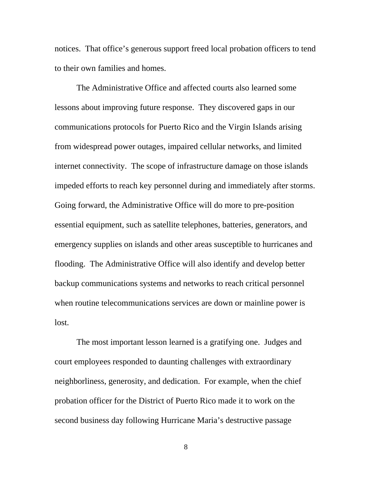notices. That office's generous support freed local probation officers to tend to their own families and homes.

 The Administrative Office and affected courts also learned some lessons about improving future response. They discovered gaps in our communications protocols for Puerto Rico and the Virgin Islands arising from widespread power outages, impaired cellular networks, and limited internet connectivity. The scope of infrastructure damage on those islands impeded efforts to reach key personnel during and immediately after storms. Going forward, the Administrative Office will do more to pre-position essential equipment, such as satellite telephones, batteries, generators, and emergency supplies on islands and other areas susceptible to hurricanes and flooding. The Administrative Office will also identify and develop better backup communications systems and networks to reach critical personnel when routine telecommunications services are down or mainline power is lost.

 The most important lesson learned is a gratifying one. Judges and court employees responded to daunting challenges with extraordinary neighborliness, generosity, and dedication. For example, when the chief probation officer for the District of Puerto Rico made it to work on the second business day following Hurricane Maria's destructive passage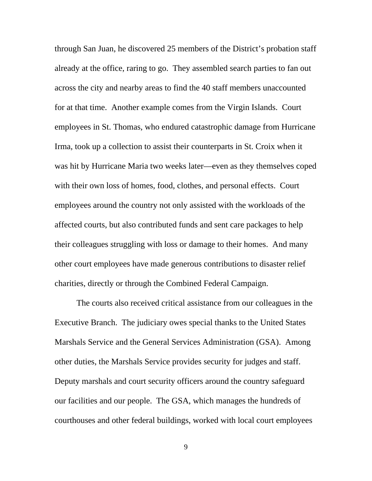through San Juan, he discovered 25 members of the District's probation staff already at the office, raring to go. They assembled search parties to fan out across the city and nearby areas to find the 40 staff members unaccounted for at that time. Another example comes from the Virgin Islands. Court employees in St. Thomas, who endured catastrophic damage from Hurricane Irma, took up a collection to assist their counterparts in St. Croix when it was hit by Hurricane Maria two weeks later—even as they themselves coped with their own loss of homes, food, clothes, and personal effects. Court employees around the country not only assisted with the workloads of the affected courts, but also contributed funds and sent care packages to help their colleagues struggling with loss or damage to their homes. And many other court employees have made generous contributions to disaster relief charities, directly or through the Combined Federal Campaign.

 The courts also received critical assistance from our colleagues in the Executive Branch. The judiciary owes special thanks to the United States Marshals Service and the General Services Administration (GSA). Among other duties, the Marshals Service provides security for judges and staff. Deputy marshals and court security officers around the country safeguard our facilities and our people. The GSA, which manages the hundreds of courthouses and other federal buildings, worked with local court employees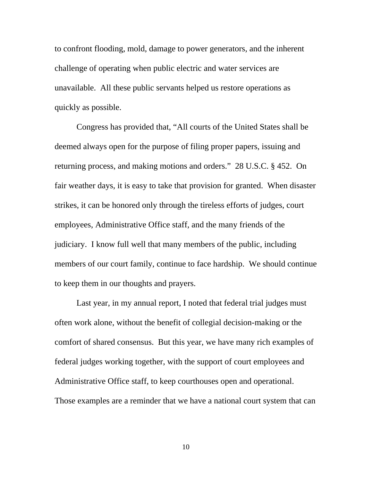to confront flooding, mold, damage to power generators, and the inherent challenge of operating when public electric and water services are unavailable. All these public servants helped us restore operations as quickly as possible.

 Congress has provided that, "All courts of the United States shall be deemed always open for the purpose of filing proper papers, issuing and returning process, and making motions and orders." 28 U.S.C. § 452. On fair weather days, it is easy to take that provision for granted. When disaster strikes, it can be honored only through the tireless efforts of judges, court employees, Administrative Office staff, and the many friends of the judiciary. I know full well that many members of the public, including members of our court family, continue to face hardship. We should continue to keep them in our thoughts and prayers.

 Last year, in my annual report, I noted that federal trial judges must often work alone, without the benefit of collegial decision-making or the comfort of shared consensus. But this year, we have many rich examples of federal judges working together, with the support of court employees and Administrative Office staff, to keep courthouses open and operational. Those examples are a reminder that we have a national court system that can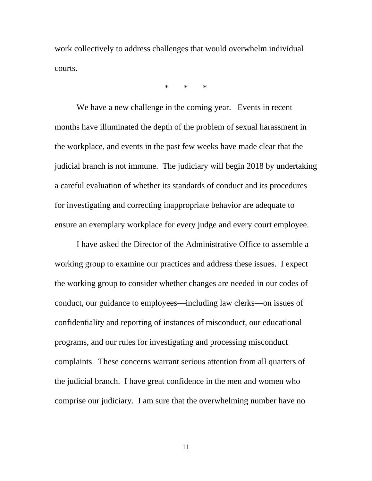work collectively to address challenges that would overwhelm individual courts.

\* \* \*

 We have a new challenge in the coming year. Events in recent months have illuminated the depth of the problem of sexual harassment in the workplace, and events in the past few weeks have made clear that the judicial branch is not immune. The judiciary will begin 2018 by undertaking a careful evaluation of whether its standards of conduct and its procedures for investigating and correcting inappropriate behavior are adequate to ensure an exemplary workplace for every judge and every court employee.

 I have asked the Director of the Administrative Office to assemble a working group to examine our practices and address these issues. I expect the working group to consider whether changes are needed in our codes of conduct, our guidance to employees—including law clerks—on issues of confidentiality and reporting of instances of misconduct, our educational programs, and our rules for investigating and processing misconduct complaints. These concerns warrant serious attention from all quarters of the judicial branch. I have great confidence in the men and women who comprise our judiciary. I am sure that the overwhelming number have no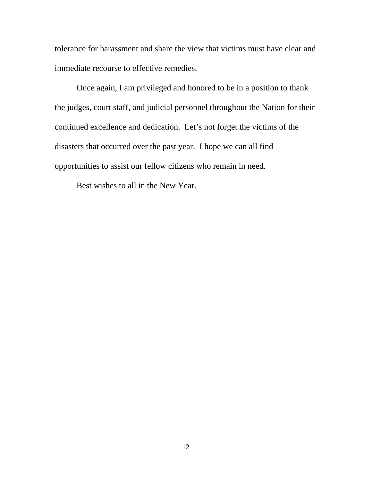tolerance for harassment and share the view that victims must have clear and immediate recourse to effective remedies.

 Once again, I am privileged and honored to be in a position to thank the judges, court staff, and judicial personnel throughout the Nation for their continued excellence and dedication. Let's not forget the victims of the disasters that occurred over the past year. I hope we can all find opportunities to assist our fellow citizens who remain in need.

Best wishes to all in the New Year.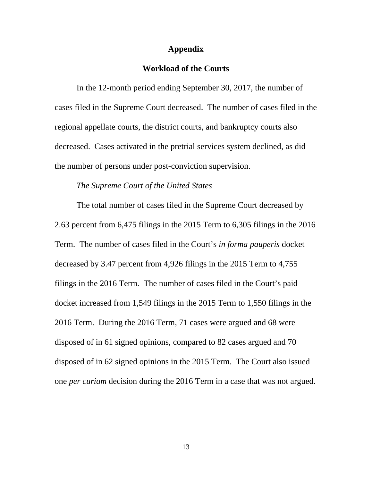#### **Appendix**

## **Workload of the Courts**

 In the 12-month period ending September 30, 2017, the number of cases filed in the Supreme Court decreased. The number of cases filed in the regional appellate courts, the district courts, and bankruptcy courts also decreased. Cases activated in the pretrial services system declined, as did the number of persons under post-conviction supervision.

#### *The Supreme Court of the United States*

 The total number of cases filed in the Supreme Court decreased by 2.63 percent from 6,475 filings in the 2015 Term to 6,305 filings in the 2016 Term. The number of cases filed in the Court's *in forma pauperis* docket decreased by 3.47 percent from 4,926 filings in the 2015 Term to 4,755 filings in the 2016 Term. The number of cases filed in the Court's paid docket increased from 1,549 filings in the 2015 Term to 1,550 filings in the 2016 Term. During the 2016 Term, 71 cases were argued and 68 were disposed of in 61 signed opinions, compared to 82 cases argued and 70 disposed of in 62 signed opinions in the 2015 Term. The Court also issued one *per curiam* decision during the 2016 Term in a case that was not argued.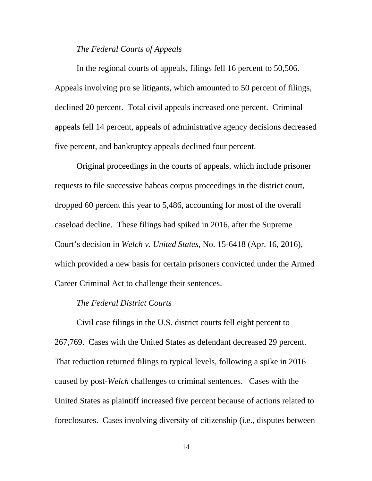### *The Federal Courts of Appeals*

 In the regional courts of appeals, filings fell 16 percent to 50,506. Appeals involving pro se litigants, which amounted to 50 percent of filings, declined 20 percent. Total civil appeals increased one percent. Criminal appeals fell 14 percent, appeals of administrative agency decisions decreased five percent, and bankruptcy appeals declined four percent.

 Original proceedings in the courts of appeals, which include prisoner requests to file successive habeas corpus proceedings in the district court, dropped 60 percent this year to 5,486, accounting for most of the overall caseload decline. These filings had spiked in 2016, after the Supreme Court's decision in *Welch v. United States*, No. 15-6418 (Apr. 16, 2016), which provided a new basis for certain prisoners convicted under the Armed Career Criminal Act to challenge their sentences.

## *The Federal District Courts*

 Civil case filings in the U.S. district courts fell eight percent to 267,769. Cases with the United States as defendant decreased 29 percent. That reduction returned filings to typical levels, following a spike in 2016 caused by post-*Welch* challenges to criminal sentences. Cases with the United States as plaintiff increased five percent because of actions related to foreclosures. Cases involving diversity of citizenship (i.e., disputes between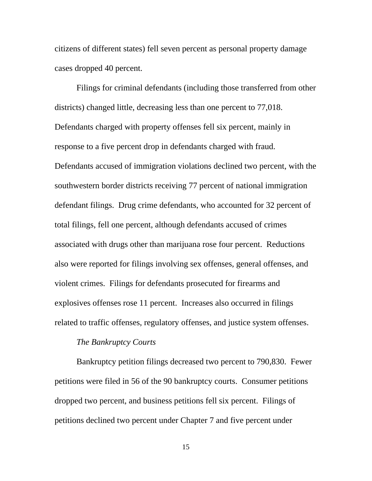citizens of different states) fell seven percent as personal property damage cases dropped 40 percent.

 Filings for criminal defendants (including those transferred from other districts) changed little, decreasing less than one percent to 77,018. Defendants charged with property offenses fell six percent, mainly in response to a five percent drop in defendants charged with fraud. Defendants accused of immigration violations declined two percent, with the southwestern border districts receiving 77 percent of national immigration defendant filings. Drug crime defendants, who accounted for 32 percent of total filings, fell one percent, although defendants accused of crimes associated with drugs other than marijuana rose four percent. Reductions also were reported for filings involving sex offenses, general offenses, and violent crimes. Filings for defendants prosecuted for firearms and explosives offenses rose 11 percent. Increases also occurred in filings related to traffic offenses, regulatory offenses, and justice system offenses.

### *The Bankruptcy Courts*

 Bankruptcy petition filings decreased two percent to 790,830. Fewer petitions were filed in 56 of the 90 bankruptcy courts. Consumer petitions dropped two percent, and business petitions fell six percent. Filings of petitions declined two percent under Chapter 7 and five percent under